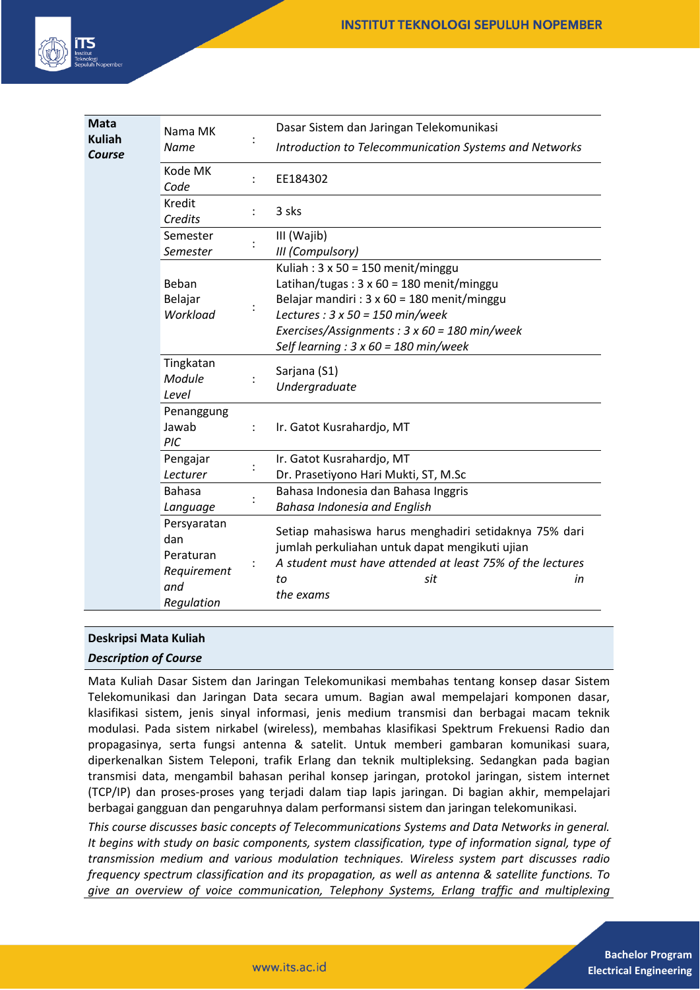

| <b>Mata</b><br><b>Kuliah</b><br>Course | Nama MK<br><b>Name</b>                                              |                | Dasar Sistem dan Jaringan Telekomunikasi<br>Introduction to Telecommunication Systems and Networks                                                                                                                                                                                                   |
|----------------------------------------|---------------------------------------------------------------------|----------------|------------------------------------------------------------------------------------------------------------------------------------------------------------------------------------------------------------------------------------------------------------------------------------------------------|
|                                        | Kode MK<br>Code                                                     | $\ddot{\cdot}$ | EE184302                                                                                                                                                                                                                                                                                             |
|                                        | Kredit<br>Credits                                                   | $\ddot{\cdot}$ | 3 sks                                                                                                                                                                                                                                                                                                |
|                                        | Semester<br>Semester                                                |                | III (Wajib)<br>III (Compulsory)                                                                                                                                                                                                                                                                      |
|                                        | Beban<br>Belajar<br>Workload                                        |                | Kuliah: $3 \times 50 = 150$ menit/minggu<br>Latihan/tugas: $3 \times 60 = 180$ menit/minggu<br>Belajar mandiri : $3 \times 60 = 180$ menit/minggu<br>Lectures : $3 \times 50 = 150$ min/week<br>Exercises/Assignments : $3 \times 60 = 180$ min/week<br>Self learning : $3 \times 60 = 180$ min/week |
|                                        | Tingkatan<br>Module<br>Level                                        |                | Sarjana (S1)<br>Undergraduate                                                                                                                                                                                                                                                                        |
|                                        | Penanggung<br>Jawab<br>PIC                                          | $\ddot{\cdot}$ | Ir. Gatot Kusrahardjo, MT                                                                                                                                                                                                                                                                            |
|                                        | Pengajar<br>Lecturer                                                |                | Ir. Gatot Kusrahardjo, MT<br>Dr. Prasetiyono Hari Mukti, ST, M.Sc                                                                                                                                                                                                                                    |
|                                        | <b>Bahasa</b><br>Language                                           |                | Bahasa Indonesia dan Bahasa Inggris<br><b>Bahasa Indonesia and English</b>                                                                                                                                                                                                                           |
|                                        | Persyaratan<br>dan<br>Peraturan<br>Requirement<br>and<br>Regulation |                | Setiap mahasiswa harus menghadiri setidaknya 75% dari<br>jumlah perkuliahan untuk dapat mengikuti ujian<br>A student must have attended at least 75% of the lectures<br>to<br>sit<br>in<br>the exams                                                                                                 |

# **Deskripsi Mata Kuliah**

## *Description of Course*

Mata Kuliah Dasar Sistem dan Jaringan Telekomunikasi membahas tentang konsep dasar Sistem Telekomunikasi dan Jaringan Data secara umum. Bagian awal mempelajari komponen dasar, klasifikasi sistem, jenis sinyal informasi, jenis medium transmisi dan berbagai macam teknik modulasi. Pada sistem nirkabel (wireless), membahas klasifikasi Spektrum Frekuensi Radio dan propagasinya, serta fungsi antenna & satelit. Untuk memberi gambaran komunikasi suara, diperkenalkan Sistem Teleponi, trafik Erlang dan teknik multipleksing. Sedangkan pada bagian transmisi data, mengambil bahasan perihal konsep jaringan, protokol jaringan, sistem internet (TCP/IP) dan proses-proses yang terjadi dalam tiap lapis jaringan. Di bagian akhir, mempelajari berbagai gangguan dan pengaruhnya dalam performansi sistem dan jaringan telekomunikasi.

*This course discusses basic concepts of Telecommunications Systems and Data Networks in general. It begins with study on basic components, system classification, type of information signal, type of transmission medium and various modulation techniques. Wireless system part discusses radio frequency spectrum classification and its propagation, as well as antenna & satellite functions. To give an overview of voice communication, Telephony Systems, Erlang traffic and multiplexing*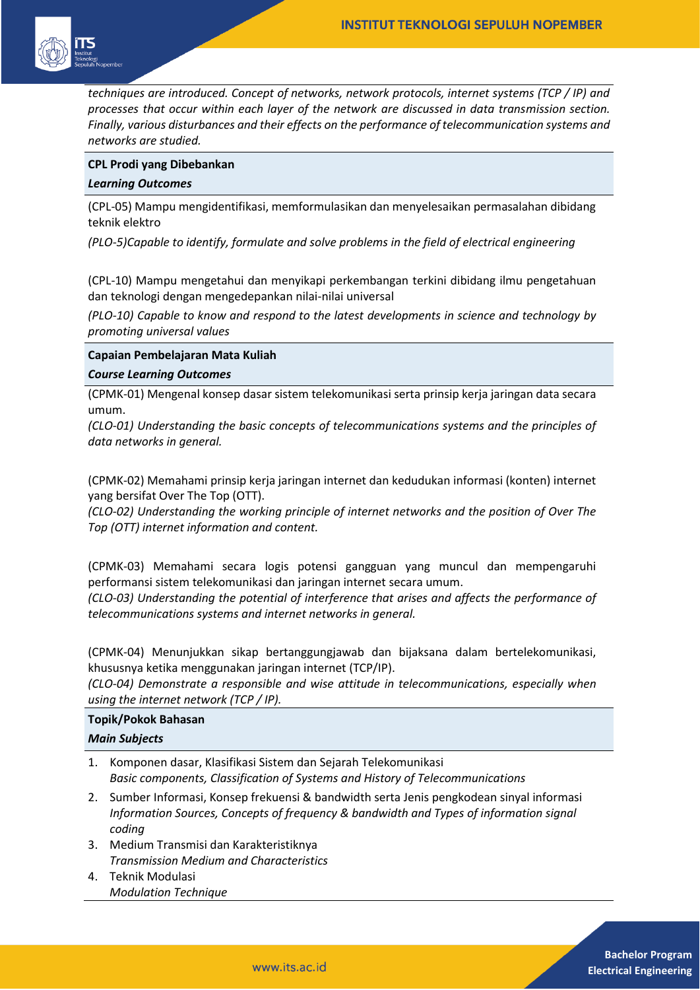

*techniques are introduced. Concept of networks, network protocols, internet systems (TCP / IP) and processes that occur within each layer of the network are discussed in data transmission section. Finally, various disturbances and their effects on the performance of telecommunication systems and networks are studied.*

## **CPL Prodi yang Dibebankan**

## *Learning Outcomes*

(CPL-05) Mampu mengidentifikasi, memformulasikan dan menyelesaikan permasalahan dibidang teknik elektro

*(PLO-5)Capable to identify, formulate and solve problems in the field of electrical engineering* 

(CPL-10) Mampu mengetahui dan menyikapi perkembangan terkini dibidang ilmu pengetahuan dan teknologi dengan mengedepankan nilai-nilai universal

*(PLO-10) Capable to know and respond to the latest developments in science and technology by promoting universal values* 

### **Capaian Pembelajaran Mata Kuliah**

#### *Course Learning Outcomes*

(CPMK-01) Mengenal konsep dasar sistem telekomunikasi serta prinsip kerja jaringan data secara umum.

*(CLO-01) Understanding the basic concepts of telecommunications systems and the principles of data networks in general.*

(CPMK-02) Memahami prinsip kerja jaringan internet dan kedudukan informasi (konten) internet yang bersifat Over The Top (OTT).

*(CLO-02) Understanding the working principle of internet networks and the position of Over The Top (OTT) internet information and content.*

(CPMK-03) Memahami secara logis potensi gangguan yang muncul dan mempengaruhi performansi sistem telekomunikasi dan jaringan internet secara umum.

*(CLO-03) Understanding the potential of interference that arises and affects the performance of telecommunications systems and internet networks in general.*

(CPMK-04) Menunjukkan sikap bertanggungjawab dan bijaksana dalam bertelekomunikasi, khususnya ketika menggunakan jaringan internet (TCP/IP).

*(CLO-04) Demonstrate a responsible and wise attitude in telecommunications, especially when using the internet network (TCP / IP).*

## **Topik/Pokok Bahasan**

## *Main Subjects*

- 1. Komponen dasar, Klasifikasi Sistem dan Sejarah Telekomunikasi *Basic components, Classification of Systems and History of Telecommunications*
- 2. Sumber Informasi, Konsep frekuensi & bandwidth serta Jenis pengkodean sinyal informasi *Information Sources, Concepts of frequency & bandwidth and Types of information signal coding*
- 3. Medium Transmisi dan Karakteristiknya *Transmission Medium and Characteristics*
- 4. Teknik Modulasi *Modulation Technique*